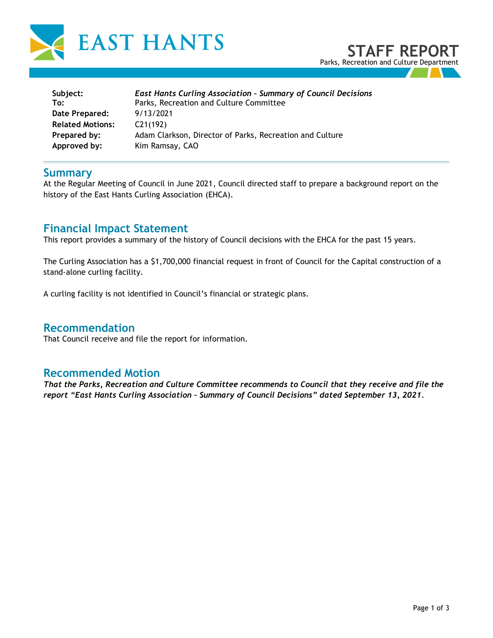

| Subject:                | <b>East Hants Curling Association - Summary of Council Decisions</b> |  |
|-------------------------|----------------------------------------------------------------------|--|
| To:                     | Parks, Recreation and Culture Committee                              |  |
| Date Prepared:          | 9/13/2021                                                            |  |
| <b>Related Motions:</b> | C21(192)                                                             |  |
| Prepared by:            | Adam Clarkson, Director of Parks, Recreation and Culture             |  |
| Approved by:            | Kim Ramsay, CAO                                                      |  |

#### **Summary**

At the Regular Meeting of Council in June 2021, Council directed staff to prepare a background report on the history of the East Hants Curling Association (EHCA).

## **Financial Impact Statement**

This report provides a summary of the history of Council decisions with the EHCA for the past 15 years.

The Curling Association has a \$1,700,000 financial request in front of Council for the Capital construction of a stand-alone curling facility.

A curling facility is not identified in Council's financial or strategic plans.

### **Recommendation**

That Council receive and file the report for information.

### **Recommended Motion**

*That the Parks, Recreation and Culture Committee recommends to Council that they receive and file the report "East Hants Curling Association – Summary of Council Decisions" dated September 13, 2021.*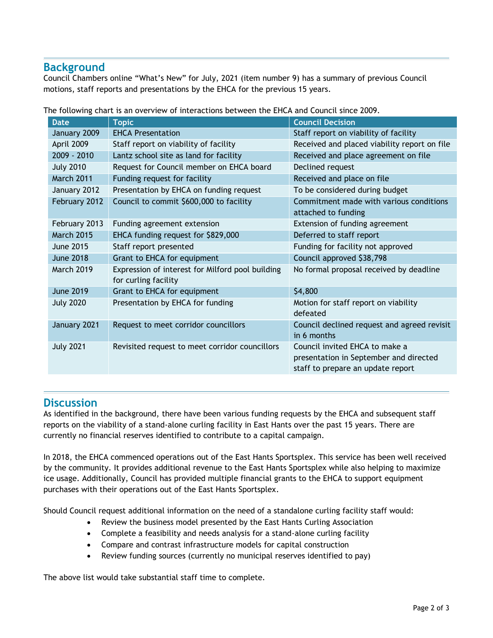## **Background**

Council Chambers online "What's New" for July, 2021 (item number 9) has a summary of previous Council motions, staff reports and presentations by the EHCA for the previous 15 years.

| <b>Date</b>       | <b>Topic</b>                                                             | <b>Council Decision</b>                                                                                       |
|-------------------|--------------------------------------------------------------------------|---------------------------------------------------------------------------------------------------------------|
| January 2009      | <b>EHCA Presentation</b>                                                 | Staff report on viability of facility                                                                         |
| April 2009        | Staff report on viability of facility                                    | Received and placed viability report on file                                                                  |
| 2009 - 2010       | Lantz school site as land for facility                                   | Received and place agreement on file                                                                          |
| <b>July 2010</b>  | Request for Council member on EHCA board                                 | Declined request                                                                                              |
| March 2011        | Funding request for facility                                             | Received and place on file                                                                                    |
| January 2012      | Presentation by EHCA on funding request                                  | To be considered during budget                                                                                |
| February 2012     | Council to commit \$600,000 to facility                                  | Commitment made with various conditions<br>attached to funding                                                |
| February 2013     | Funding agreement extension                                              | Extension of funding agreement                                                                                |
| <b>March 2015</b> | EHCA funding request for \$829,000                                       | Deferred to staff report                                                                                      |
| <b>June 2015</b>  | Staff report presented                                                   | Funding for facility not approved                                                                             |
| <b>June 2018</b>  | Grant to EHCA for equipment                                              | Council approved \$38,798                                                                                     |
| <b>March 2019</b> | Expression of interest for Milford pool building<br>for curling facility | No formal proposal received by deadline                                                                       |
| <b>June 2019</b>  | Grant to EHCA for equipment                                              | \$4,800                                                                                                       |
| <b>July 2020</b>  | Presentation by EHCA for funding                                         | Motion for staff report on viability<br>defeated                                                              |
| January 2021      | Request to meet corridor councillors                                     | Council declined request and agreed revisit<br>in 6 months                                                    |
| <b>July 2021</b>  | Revisited request to meet corridor councillors                           | Council invited EHCA to make a<br>presentation in September and directed<br>staff to prepare an update report |

The following chart is an overview of interactions between the EHCA and Council since 2009.

## **Discussion**

As identified in the background, there have been various funding requests by the EHCA and subsequent staff reports on the viability of a stand-alone curling facility in East Hants over the past 15 years. There are currently no financial reserves identified to contribute to a capital campaign.

In 2018, the EHCA commenced operations out of the East Hants Sportsplex. This service has been well received by the community. It provides additional revenue to the East Hants Sportsplex while also helping to maximize ice usage. Additionally, Council has provided multiple financial grants to the EHCA to support equipment purchases with their operations out of the East Hants Sportsplex.

Should Council request additional information on the need of a standalone curling facility staff would:

- Review the business model presented by the East Hants Curling Association
- Complete a feasibility and needs analysis for a stand-alone curling facility
- Compare and contrast infrastructure models for capital construction
- Review funding sources (currently no municipal reserves identified to pay)

The above list would take substantial staff time to complete.